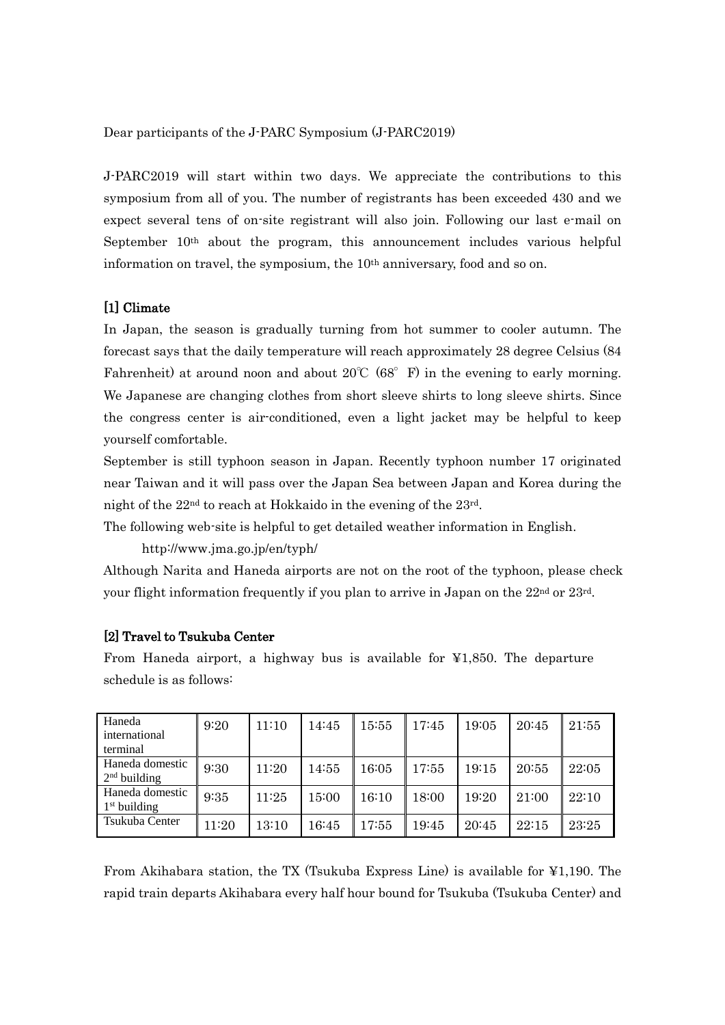Dear participants of the J-PARC Symposium (J-PARC2019)

J-PARC2019 will start within two days. We appreciate the contributions to this symposium from all of you. The number of registrants has been exceeded 430 and we expect several tens of on-site registrant will also join. Following our last e-mail on September  $10<sup>th</sup>$  about the program, this announcement includes various helpful information on travel, the symposium, the 10<sup>th</sup> anniversary, food and so on.

#### [1] Climate

In Japan, the season is gradually turning from hot summer to cooler autumn. The forecast says that the daily temperature will reach approximately 28 degree Celsius (84 Fahrenheit) at around noon and about  $20^{\circ}C(68^{\circ}F)$  in the evening to early morning. We Japanese are changing clothes from short sleeve shirts to long sleeve shirts. Since the congress center is air-conditioned, even a light jacket may be helpful to keep yourself comfortable.

September is still typhoon season in Japan. Recently typhoon number 17 originated near Taiwan and it will pass over the Japan Sea between Japan and Korea during the night of the 22nd to reach at Hokkaido in the evening of the 23rd.

The following web-site is helpful to get detailed weather information in English.

http://www.jma.go.jp/en/typh/

Although Narita and Haneda airports are not on the root of the typhoon, please check your flight information frequently if you plan to arrive in Japan on the 22nd or 23rd.

#### [2] Travel to Tsukuba Center

From Haneda airport, a highway bus is available for  $\yen 1,850$ . The departure schedule is as follows:

| Haneda<br>international<br>terminal | 9:20  | 11:10 | 14:45 | 15:55 | 17:45 | 19:05 | 20:45 | 21:55 |
|-------------------------------------|-------|-------|-------|-------|-------|-------|-------|-------|
| Haneda domestic<br>$2nd$ building   | 9:30  | 11:20 | 14:55 | 16:05 | 17:55 | 19:15 | 20:55 | 22:05 |
| Haneda domestic<br>$1st$ building   | 9:35  | 11:25 | 15:00 | 16:10 | 18:00 | 19:20 | 21:00 | 22:10 |
| Tsukuba Center                      | 11:20 | 13:10 | 16:45 | 17:55 | 19:45 | 20:45 | 22:15 | 23:25 |

From Akihabara station, the TX (Tsukuba Express Line) is available for ¥1,190. The rapid train departs Akihabara every half hour bound for Tsukuba (Tsukuba Center) and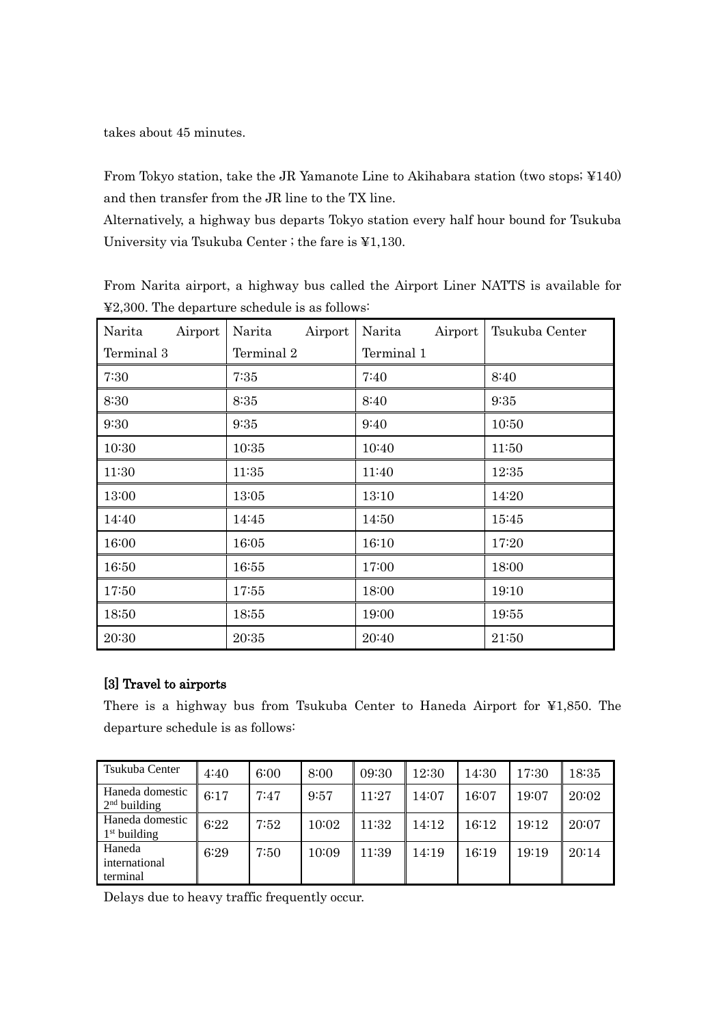takes about 45 minutes.

From Tokyo station, take the JR Yamanote Line to Akihabara station (two stops; ¥140) and then transfer from the JR line to the TX line.

Alternatively, a highway bus departs Tokyo station every half hour bound for Tsukuba University via Tsukuba Center ; the fare is ¥1,130.

From Narita airport, a highway bus called the Airport Liner NATTS is available for ¥2,300. The departure schedule is as follows:

| Airport<br>Narita | Airport<br>Narita | Airport<br>Narita | Tsukuba Center |
|-------------------|-------------------|-------------------|----------------|
| Terminal 3        | Terminal 2        | Terminal 1        |                |
| 7:30              | 7:35              | 7:40              | 8:40           |
| 8:30              | 8:35              | 8:40              | 9:35           |
| 9:30              | 9:35              | 9:40              | 10:50          |
| 10:30             | 10:35             | 10:40             | 11:50          |
| 11:30             | 11:35             | 11:40             | 12:35          |
| 13:00             | 13:05             | 13:10             | 14:20          |
| 14:40             | 14:45             | 14:50             | 15:45          |
| 16:00             | 16:05             | 16:10             | 17:20          |
| 16:50             | 16:55             | 17:00             | 18:00          |
| 17:50             | 17:55             | 18:00             | 19:10          |
| 18;50             | 18;55             | 19:00             | 19:55          |
| 20:30             | 20:35             | 20:40             | 21:50          |

## [3] Travel to airports

There is a highway bus from Tsukuba Center to Haneda Airport for ¥1,850. The departure schedule is as follows:

| Tsukuba Center                              | 4:40 | 6:00 | 8:00  | 09:30 | 12:30 | 14:30 | 17:30 | 18:35 |
|---------------------------------------------|------|------|-------|-------|-------|-------|-------|-------|
| Haneda domestic<br>2 <sup>nd</sup> building | 6:17 | 7:47 | 9:57  | 11:27 | 14:07 | 16:07 | 19:07 | 20:02 |
| Haneda domestic<br>$1st$ building           | 6:22 | 7:52 | 10:02 | 11:32 | 14:12 | 16:12 | 19:12 | 20:07 |
| Haneda<br>international<br>terminal         | 6:29 | 7:50 | 10:09 | 11:39 | 14:19 | 16:19 | 19:19 | 20:14 |

Delays due to heavy traffic frequently occur.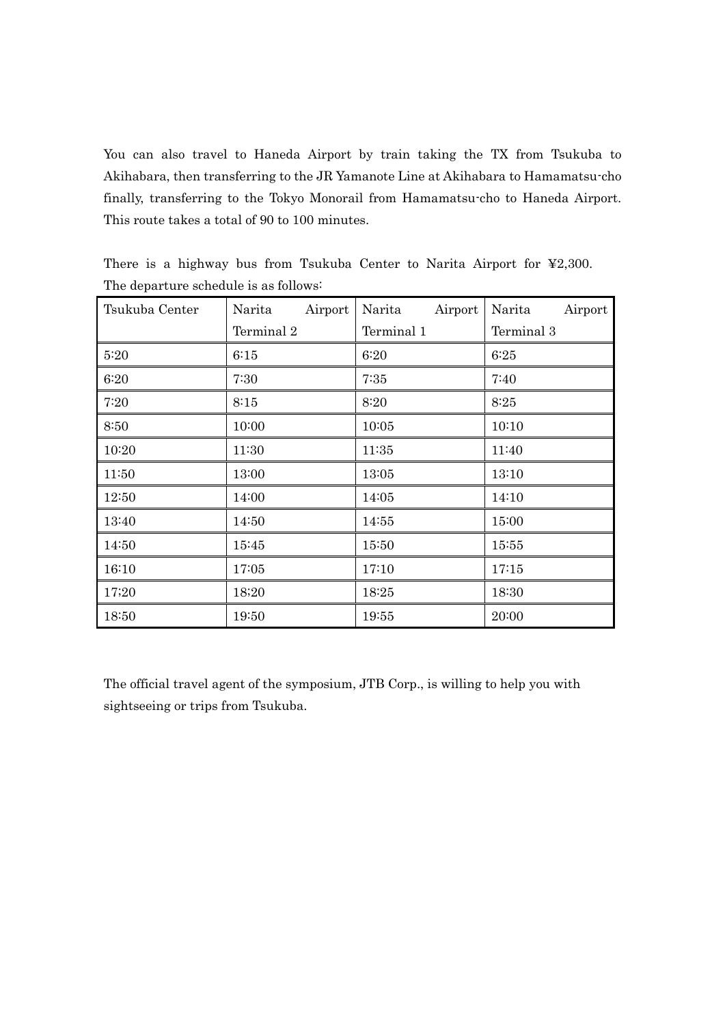You can also travel to Haneda Airport by train taking the TX from Tsukuba to Akihabara, then transferring to the JR Yamanote Line at Akihabara to Hamamatsu-cho finally, transferring to the Tokyo Monorail from Hamamatsu-cho to Haneda Airport. This route takes a total of 90 to 100 minutes.

| Tsukuba Center | Airport<br>Narita | Airport<br>Narita | Airport<br>Narita |
|----------------|-------------------|-------------------|-------------------|
|                | Terminal 2        | Terminal 1        | Terminal 3        |
| 5:20           | 6:15              | 6:20              | 6:25              |
| 6:20           | 7:30              | 7:35              | 7:40              |
| 7:20           | 8:15              | 8:20              | 8:25              |
| 8:50           | 10:00             | 10:05             | 10:10             |
| 10:20          | 11:30             | 11:35             | 11:40             |
| 11:50          | 13:00             | 13:05             | 13:10             |
| 12:50          | 14:00             | 14:05             | 14:10             |
| 13:40          | 14:50             | 14:55             | 15:00             |
| 14:50          | 15:45             | 15:50             | 15:55             |
| 16:10          | 17:05             | 17:10             | 17:15             |
| 17;20          | 18;20             | 18:25             | 18:30             |
| 18:50          | 19:50             | 19:55             | 20:00             |

There is a highway bus from Tsukuba Center to Narita Airport for ¥2,300. The departure schedule is as follows:

The official travel agent of the symposium, JTB Corp., is willing to help you with sightseeing or trips from Tsukuba.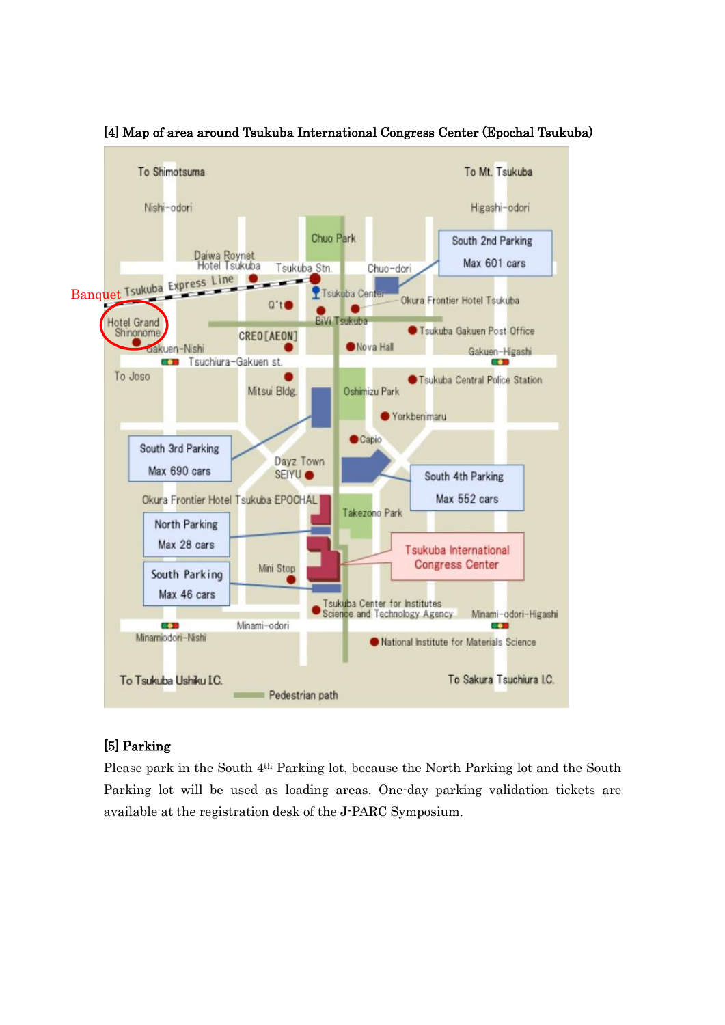

[4] Map of area around Tsukuba International Congress Center (Epochal Tsukuba)

# [5] Parking

Please park in the South 4th Parking lot, because the North Parking lot and the South Parking lot will be used as loading areas. One-day parking validation tickets are available at the registration desk of the J-PARC Symposium.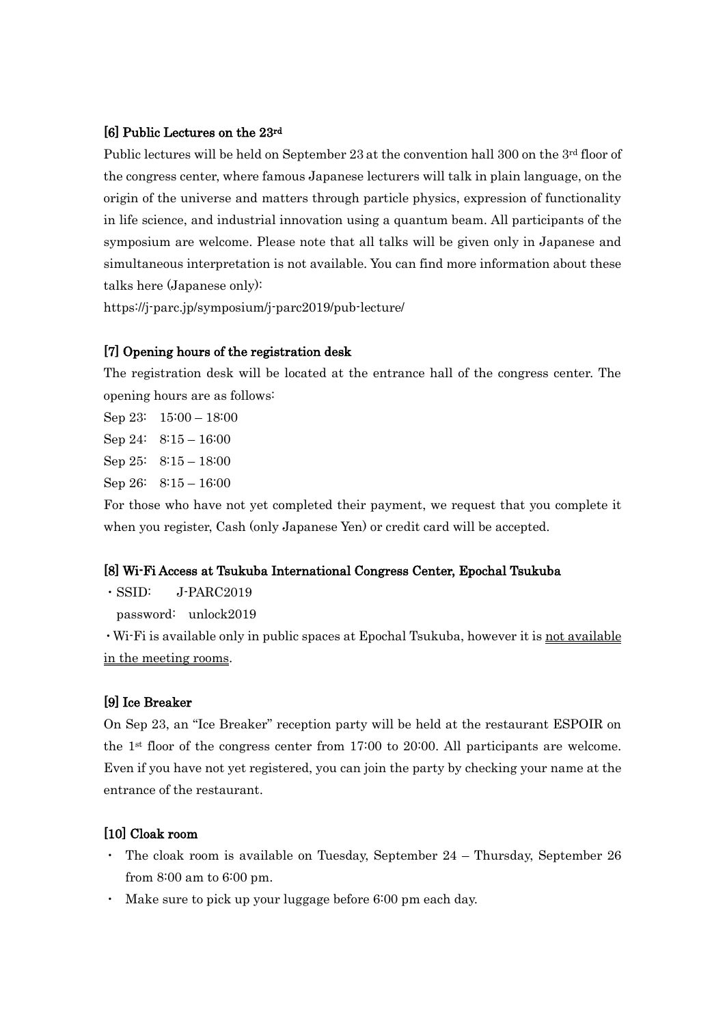#### [6] Public Lectures on the 23rd

Public lectures will be held on September 23 at the convention hall 300 on the 3<sup>rd</sup> floor of the congress center, where famous Japanese lecturers will talk in plain language, on the origin of the universe and matters through particle physics, expression of functionality in life science, and industrial innovation using a quantum beam. All participants of the symposium are welcome. Please note that all talks will be given only in Japanese and simultaneous interpretation is not available. You can find more information about these talks here (Japanese only):

https://j-parc.jp/symposium/j-parc2019/pub-lecture/

## [7] Opening hours of the registration desk

The registration desk will be located at the entrance hall of the congress center. The opening hours are as follows:

Sep 23: 15:00 – 18:00 Sep 24: 8:15 – 16:00 Sep 25:  $8:15 - 18:00$ Sep 26: 8:15 – 16:00

For those who have not yet completed their payment, we request that you complete it when you register, Cash (only Japanese Yen) or credit card will be accepted.

#### [8] Wi-Fi Access at Tsukuba International Congress Center, Epochal Tsukuba

 $\cdot$  SSID: J-PARC2019

password: unlock2019

・Wi-Fi is available only in public spaces at Epochal Tsukuba, however it is not available in the meeting rooms.

## [9] Ice Breaker

On Sep 23, an "Ice Breaker" reception party will be held at the restaurant ESPOIR on the 1st floor of the congress center from 17:00 to 20:00. All participants are welcome. Even if you have not yet registered, you can join the party by checking your name at the entrance of the restaurant.

#### [10] Cloak room

- The cloak room is available on Tuesday, September  $24$  Thursday, September 26 from 8:00 am to 6:00 pm.
- ・ Make sure to pick up your luggage before 6:00 pm each day.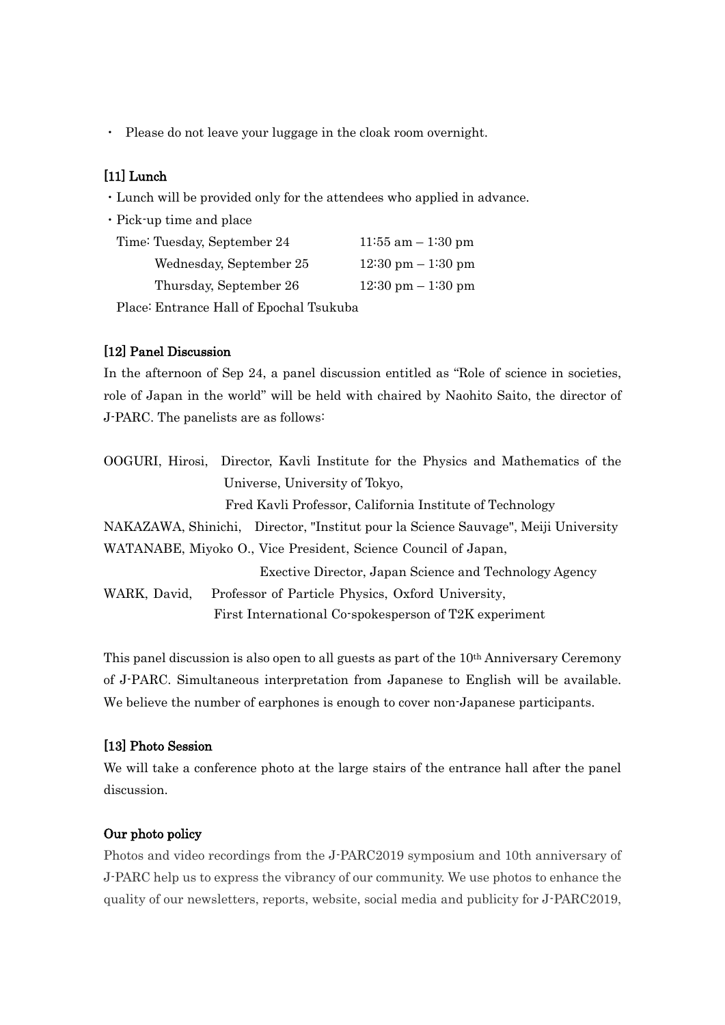・ Please do not leave your luggage in the cloak room overnight.

## [11] Lunch

- ・Lunch will be provided only for the attendees who applied in advance.
- ・Pick-up time and place

| Time: Tuesday, September 24 | $11:55$ am $-1:30$ pm                |
|-----------------------------|--------------------------------------|
| Wednesday, September 25     | $12:30 \text{ pm} - 1:30 \text{ pm}$ |
| Thursday, September 26      | $12:30 \text{ pm} - 1:30 \text{ pm}$ |

Place: Entrance Hall of Epochal Tsukuba

## [12] Panel Discussion

In the afternoon of Sep 24, a panel discussion entitled as "Role of science in societies, role of Japan in the world" will be held with chaired by Naohito Saito, the director of J-PARC. The panelists are as follows:

|              | OOGURI, Hirosi, Director, Kavli Institute for the Physics and Mathematics of the   |
|--------------|------------------------------------------------------------------------------------|
|              | Universe, University of Tokyo,                                                     |
|              | Fred Kavli Professor, California Institute of Technology                           |
|              | NAKAZAWA, Shinichi, Director, "Institut pour la Science Sauvage", Meiji University |
|              | WATANABE, Miyoko O., Vice President, Science Council of Japan,                     |
|              | Exective Director, Japan Science and Technology Agency                             |
| WARK, David, | Professor of Particle Physics, Oxford University,                                  |
|              | First International Co-spokesperson of T2K experiment                              |

This panel discussion is also open to all guests as part of the 10th Anniversary Ceremony of J-PARC. Simultaneous interpretation from Japanese to English will be available. We believe the number of earphones is enough to cover non-Japanese participants.

#### [13] Photo Session

We will take a conference photo at the large stairs of the entrance hall after the panel discussion.

## Our photo policy

Photos and video recordings from the J-PARC2019 symposium and 10th anniversary of J-PARC help us to express the vibrancy of our community. We use photos to enhance the quality of our newsletters, reports, website, social media and publicity for J-PARC2019,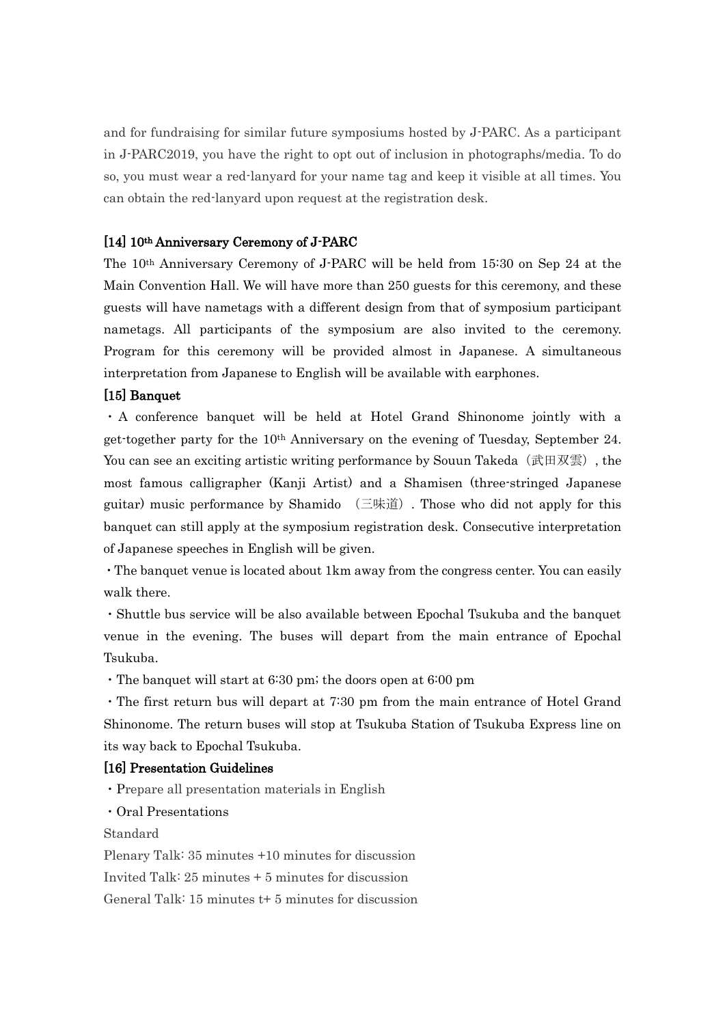and for fundraising for similar future symposiums hosted by J-PARC. As a participant in J-PARC2019, you have the right to opt out of inclusion in photographs/media. To do so, you must wear a red-lanyard for your name tag and keep it visible at all times. You can obtain the red-lanyard upon request at the registration desk.

#### [14] 10th Anniversary Ceremony of J-PARC

The 10th Anniversary Ceremony of J-PARC will be held from 15:30 on Sep 24 at the Main Convention Hall. We will have more than 250 guests for this ceremony, and these guests will have nametags with a different design from that of symposium participant nametags. All participants of the symposium are also invited to the ceremony. Program for this ceremony will be provided almost in Japanese. A simultaneous interpretation from Japanese to English will be available with earphones.

#### [15] Banquet

・A conference banquet will be held at Hotel Grand Shinonome jointly with a get-together party for the 10th Anniversary on the evening of Tuesday, September 24. You can see an exciting artistic writing performance by Souun Takeda (武田双雲), the most famous calligrapher (Kanji Artist) and a Shamisen (three-stringed Japanese guitar) music performance by Shamido (三味道). Those who did not apply for this banquet can still apply at the symposium registration desk. Consecutive interpretation of Japanese speeches in English will be given.

・The banquet venue is located about 1km away from the congress center. You can easily walk there.

・Shuttle bus service will be also available between Epochal Tsukuba and the banquet venue in the evening. The buses will depart from the main entrance of Epochal Tsukuba.

・The banquet will start at 6:30 pm; the doors open at 6:00 pm

・The first return bus will depart at 7:30 pm from the main entrance of Hotel Grand Shinonome. The return buses will stop at Tsukuba Station of Tsukuba Express line on its way back to Epochal Tsukuba.

#### [16] Presentation Guidelines

・Prepare all presentation materials in English

・Oral Presentations

Standard

Plenary Talk: 35 minutes +10 minutes for discussion Invited Talk: 25 minutes + 5 minutes for discussion

General Talk: 15 minutes t+ 5 minutes for discussion